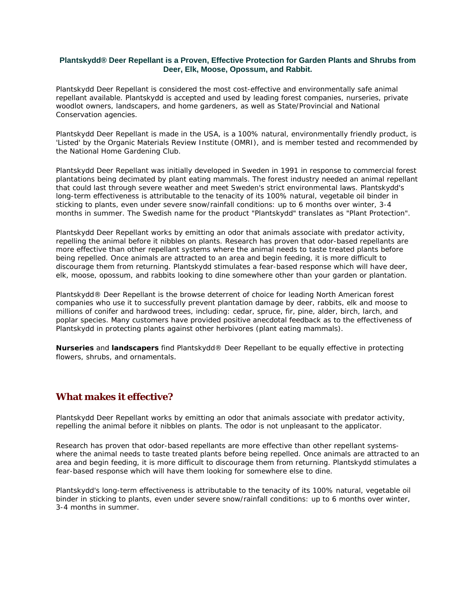#### **Plantskydd® Deer Repellant is a Proven, Effective Protection for Garden Plants and Shrubs from Deer, Elk, Moose, Opossum, and Rabbit.**

Plantskydd Deer Repellant is considered the most cost-effective and environmentally safe animal repellant available. Plantskydd is accepted and used by leading forest companies, nurseries, private woodlot owners, landscapers, and home gardeners, as well as State/Provincial and National Conservation agencies.

Plantskydd Deer Repellant is made in the USA, is a 100% natural, environmentally friendly product, is 'Listed' by the Organic Materials Review Institute (OMRI), and is member tested and recommended by the National Home Gardening Club.

Plantskydd Deer Repellant was initially developed in Sweden in 1991 in response to commercial forest plantations being decimated by plant eating mammals. The forest industry needed an animal repellant that could last through severe weather and meet Sweden's strict environmental laws. Plantskydd's long-term effectiveness is attributable to the tenacity of its 100% natural, vegetable oil binder in sticking to plants, even under severe snow/rainfall conditions: up to 6 months over winter, 3-4 months in summer. The Swedish name for the product "Plantskydd" translates as "Plant Protection".

Plantskydd Deer Repellant works by emitting an odor that animals associate with predator activity, repelling the animal before it nibbles on plants. Research has proven that odor-based repellants are more effective than other repellant systems where the animal needs to taste treated plants before being repelled. Once animals are attracted to an area and begin feeding, it is more difficult to discourage them from returning. Plantskydd stimulates a fear-based response which will have deer, elk, moose, opossum, and rabbits looking to dine somewhere other than your garden or plantation.

Plantskydd® Deer Repellant is the browse deterrent of choice for leading North American forest companies who use it to successfully prevent plantation damage by deer, rabbits, elk and moose to millions of conifer and hardwood trees, including: cedar, spruce, fir, pine, alder, birch, larch, and poplar species. Many customers have provided positive anecdotal feedback as to the effectiveness of Plantskydd in protecting plants against other herbivores (plant eating mammals).

**Nurseries** and **landscapers** find Plantskydd® Deer Repellant to be equally effective in protecting flowers, shrubs, and ornamentals.

## **What makes it effective?**

Plantskydd Deer Repellant works by emitting an odor that animals associate with predator activity, repelling the animal before it nibbles on plants. The odor is not unpleasant to the applicator.

Research has proven that odor-based repellants are more effective than other repellant systemswhere the animal needs to taste treated plants before being repelled. Once animals are attracted to an area and begin feeding, it is more difficult to discourage them from returning. Plantskydd stimulates a fear-based response which will have them looking for somewhere else to dine.

Plantskydd's long-term effectiveness is attributable to the tenacity of its 100% natural, vegetable oil binder in sticking to plants, even under severe snow/rainfall conditions: up to 6 months over winter, 3-4 months in summer.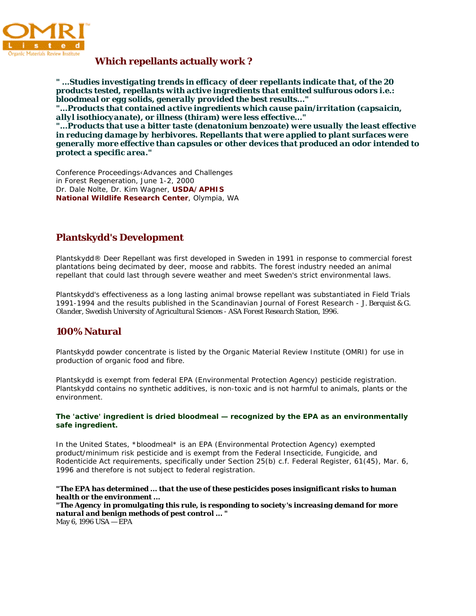

#### **Which repellants actually work ?**

*" ...Studies investigating trends in efficacy of deer repellants indicate that, of the 20 products tested, repellants with active ingredients that emitted sulfurous odors i.e.: bloodmeal or egg solids, generally provided the best results..."* 

*"...Products that contained active ingredients which cause pain/irritation (capsaicin, allyl isothiocyanate), or illness (thiram) were less effective..."* 

*"...Products that use a bitter taste (denatonium benzoate) were usually the least effective in reducing damage by herbivores. Repellants that were applied to plant surfaces were generally more effective than capsules or other devices that produced an odor intended to protect a specific area."* 

Conference Proceedings‹Advances and Challenges in Forest Regeneration, *June 1-2, 2000*  Dr. Dale Nolte, Dr. Kim Wagner, **USDA/APHIS National Wildlife Research Center**, Olympia, WA

## **Plantskydd's Development**

Plantskydd® Deer Repellant was first developed in Sweden in 1991 in response to commercial forest plantations being decimated by deer, moose and rabbits. The forest industry needed an animal repellant that could last through severe weather and meet Sweden's strict environmental laws.

Plantskydd's effectiveness as a long lasting animal browse repellant was substantiated in Field Trials 1991-1994 and the results published in the Scandinavian Journal of Forest Research - *J. Berquist & G. Olander, Swedish University of Agricultural Sciences - ASA Forest Research Station, 1996.*

## **100% Natural**

Plantskydd powder concentrate is listed by the Organic Material Review Institute (OMRI) for use in production of organic food and fibre.

Plantskydd is exempt from federal EPA (Environmental Protection Agency) pesticide registration. Plantskydd contains no synthetic additives, is non-toxic and is not harmful to animals, plants or the environment.

#### **The 'active' ingredient is dried bloodmeal — recognized by the EPA as an environmentally safe ingredient.**

In the United States, \*bloodmeal\* is an EPA (Environmental Protection Agency) exempted product/minimum risk pesticide and is exempt from the Federal Insecticide, Fungicide, and Rodenticide Act requirements, specifically under Section 25(b) c.f. Federal Register, 61(45), Mar. 6, 1996 and therefore is not subject to federal registration.

#### *"The EPA has determined ... that the use of these pesticides poses insignificant risks to human health or the environment ...*

*"The Agency in promulgating this rule, is responding to society's increasing demand for more natural and benign methods of pest control ... "*  May 6, 1996 USA — EPA